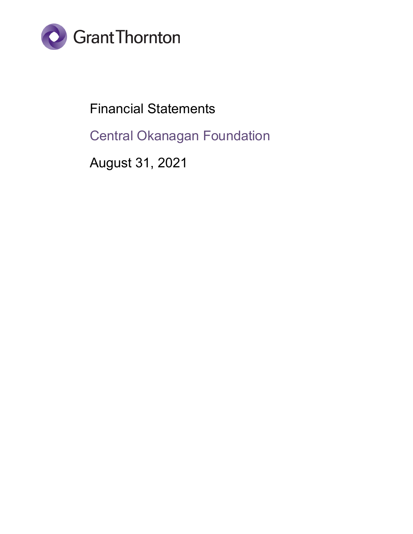

Financial Statements

Central Okanagan Foundation

August 31, 2021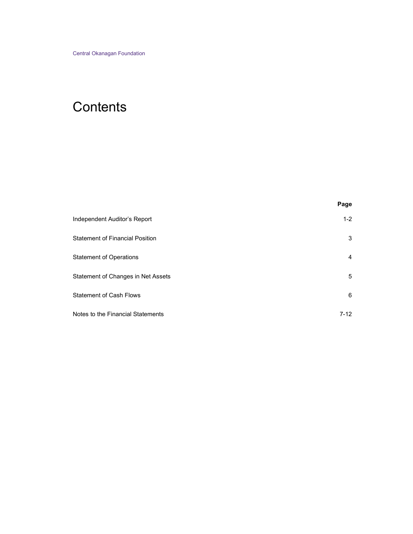Central Okanagan Foundation

# **Contents**

| Independent Auditor's Report           | $1 - 2$ |
|----------------------------------------|---------|
| <b>Statement of Financial Position</b> | 3       |
| <b>Statement of Operations</b>         | 4       |
| Statement of Changes in Net Assets     | 5       |
| <b>Statement of Cash Flows</b>         | 6       |
| Notes to the Financial Statements      | $7-12$  |

Page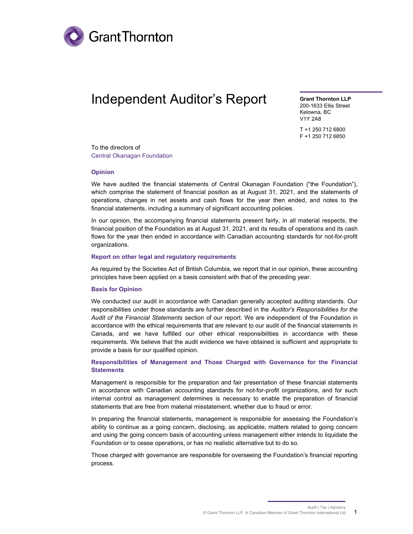

# Independent Auditor's Report

Grant Thornton LLP 200-1633 Ellis Street Kelowna, BC V1Y 2A8

T +1 250 712 6800 F +1 250 712 6850

To the directors of Central Okanagan Foundation

#### Opinion

We have audited the financial statements of Central Okanagan Foundation ("the Foundation"), which comprise the statement of financial position as at August 31, 2021, and the statements of operations, changes in net assets and cash flows for the year then ended, and notes to the financial statements, including a summary of significant accounting policies.

In our opinion, the accompanying financial statements present fairly, in all material respects, the financial position of the Foundation as at August 31, 2021, and its results of operations and its cash flows for the year then ended in accordance with Canadian accounting standards for not-for-profit organizations.

### Report on other legal and regulatory requirements

As required by the Societies Act of British Columbia, we report that in our opinion, these accounting principles have been applied on a basis consistent with that of the preceding year.

### Basis for Opinion

We conducted our audit in accordance with Canadian generally accepted auditing standards. Our responsibilities under those standards are further described in the Auditor's Responsibilities for the Audit of the Financial Statements section of our report. We are independent of the Foundation in accordance with the ethical requirements that are relevant to our audit of the financial statements in Canada, and we have fulfilled our other ethical responsibilities in accordance with these requirements. We believe that the audit evidence we have obtained is sufficient and appropriate to provide a basis for our qualified opinion.

### Responsibilities of Management and Those Charged with Governance for the Financial **Statements**

Management is responsible for the preparation and fair presentation of these financial statements in accordance with Canadian accounting standards for not-for-profit organizations, and for such internal control as management determines is necessary to enable the preparation of financial statements that are free from material misstatement, whether due to fraud or error.

In preparing the financial statements, management is responsible for assessing the Foundation's ability to continue as a going concern, disclosing, as applicable, matters related to going concern and using the going concern basis of accounting unless management either intends to liquidate the Foundation or to cease operations, or has no realistic alternative but to do so.

Those charged with governance are responsible for overseeing the Foundation's financial reporting process.

> 1 Audit | Tax | Advisory © Grant Thornton LLP. A Canadian Member of Grant Thornton International Ltd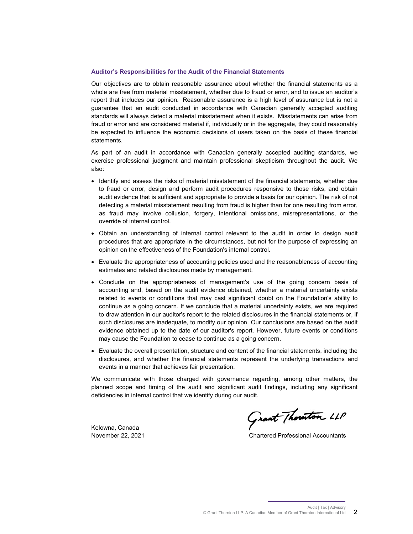#### Auditor's Responsibilities for the Audit of the Financial Statements

Our objectives are to obtain reasonable assurance about whether the financial statements as a whole are free from material misstatement, whether due to fraud or error, and to issue an auditor's report that includes our opinion. Reasonable assurance is a high level of assurance but is not a guarantee that an audit conducted in accordance with Canadian generally accepted auditing standards will always detect a material misstatement when it exists. Misstatements can arise from fraud or error and are considered material if, individually or in the aggregate, they could reasonably be expected to influence the economic decisions of users taken on the basis of these financial statements.

As part of an audit in accordance with Canadian generally accepted auditing standards, we exercise professional judgment and maintain professional skepticism throughout the audit. We also:

- Identify and assess the risks of material misstatement of the financial statements, whether due to fraud or error, design and perform audit procedures responsive to those risks, and obtain audit evidence that is sufficient and appropriate to provide a basis for our opinion. The risk of not detecting a material misstatement resulting from fraud is higher than for one resulting from error, as fraud may involve collusion, forgery, intentional omissions, misrepresentations, or the override of internal control.
- Obtain an understanding of internal control relevant to the audit in order to design audit procedures that are appropriate in the circumstances, but not for the purpose of expressing an opinion on the effectiveness of the Foundation's internal control.
- Evaluate the appropriateness of accounting policies used and the reasonableness of accounting estimates and related disclosures made by management.
- Conclude on the appropriateness of management's use of the going concern basis of accounting and, based on the audit evidence obtained, whether a material uncertainty exists related to events or conditions that may cast significant doubt on the Foundation's ability to continue as a going concern. If we conclude that a material uncertainty exists, we are required to draw attention in our auditor's report to the related disclosures in the financial statements or, if such disclosures are inadequate, to modify our opinion. Our conclusions are based on the audit evidence obtained up to the date of our auditor's report. However, future events or conditions may cause the Foundation to cease to continue as a going concern.
- Evaluate the overall presentation, structure and content of the financial statements, including the disclosures, and whether the financial statements represent the underlying transactions and events in a manner that achieves fair presentation.

We communicate with those charged with governance regarding, among other matters, the planned scope and timing of the audit and significant audit findings, including any significant deficiencies in internal control that we identify during our audit.

Kelowna, Canada

Grant Thouston LLP

November 22, 2021 Chartered Professional Accountants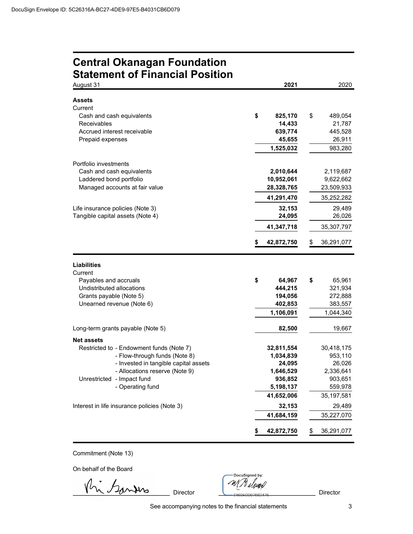### Central Okanagan Foundation Statement of Financial Position

| August 31                                    | 2021                     | 2020                           |
|----------------------------------------------|--------------------------|--------------------------------|
| <b>Assets</b>                                | \$                       | \$                             |
| Current                                      | 825,170                  | 489,054                        |
| Cash and cash equivalents                    | 14,433                   | 21,787                         |
| Receivables                                  | 639,774                  | 445,528                        |
| Accrued interest receivable                  | 45,655                   | 26,911                         |
| Prepaid expenses                             | 1,525,032                | 983,280                        |
| Portfolio investments                        | 2,010,644                | 2,119,687                      |
| Cash and cash equivalents                    | 10,952,061               | 9,622,662                      |
| Laddered bond portfolio                      | 28,328,765               | 23,509,933                     |
| Managed accounts at fair value               | 41,291,470               | 35,252,282                     |
| Life insurance policies (Note 3)             | 32,153                   | 29,489                         |
| Tangible capital assets (Note 4)             | 24,095                   | 26,026                         |
|                                              | 41,347,718<br>42,872,750 | 35,307,797<br>36,291,077<br>\$ |
| Liabilities                                  | \$                       | \$                             |
| Current                                      | 64,967                   | 65,961                         |
| Payables and accruals                        | 444,215                  | 321,934                        |
| Undistributed allocations                    | 194,056                  | 272,888                        |
| Grants payable (Note 5)                      | 402,853                  | 383,557                        |
| Unearned revenue (Note 6)                    | 1,106,091                | 1,044,340                      |
| Long-term grants payable (Note 5)            | 82,500                   | 19,667                         |
| <b>Net assets</b>                            | 32,811,554               | 30,418,175                     |
| Restricted to - Endowment funds (Note 7)     | 1,034,839                | 953,110                        |
| - Flow-through funds (Note 8)                | 24,095                   | 26,026                         |
| - Invested in tangible capital assets        | 1,646,529                | 2,336,641                      |
| - Allocations reserve (Note 9)               | 936,852                  | 903,651                        |
| Unrestricted - Impact fund                   | 5,198,137                | 559,978                        |
| - Operating fund                             | 41,652,006               | 35, 197, 581                   |
| Interest in life insurance policies (Note 3) | 32,153                   | 29,489                         |
|                                              | 41,684,159<br>42,872,750 | 35,227,070<br>36,291,077       |

Commitment (Note 13)

On behalf of the Board

 $\sqrt{\frac{2GMm}}$  Director  $\sqrt{\frac{2GMm}}$  Director

DocuSigned by: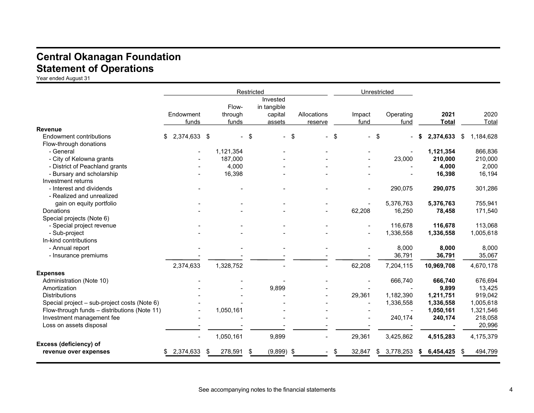### Central Okanagan Foundation Statement of Operations

Year ended August 31

|                                              | Restricted          |                  |                    |                        |      |                | Unrestricted      |                      |                  |
|----------------------------------------------|---------------------|------------------|--------------------|------------------------|------|----------------|-------------------|----------------------|------------------|
|                                              |                     |                  | Invested           |                        |      |                |                   |                      |                  |
|                                              |                     | Flow-            | in tangible        |                        |      |                |                   |                      |                  |
|                                              | Endowment<br>funds  | through<br>funds | capital<br>assets  | Allocations<br>reserve |      | Impact<br>fund | Operating<br>fund | 2021<br><b>Total</b> | 2020<br>Total    |
| <b>Revenue</b>                               |                     |                  |                    |                        |      |                |                   |                      |                  |
| Endowment contributions                      | 2,374,633 \$<br>\$. |                  | \$                 | \$                     | - \$ | $-$ \$         |                   | 2,374,633            | 1,184,628<br>-\$ |
| Flow-through donations                       |                     |                  |                    |                        |      |                |                   |                      |                  |
| - General                                    |                     | 1,121,354        |                    |                        |      |                |                   | 1,121,354            | 866,836          |
| - City of Kelowna grants                     |                     | 187,000          |                    |                        |      |                | 23,000            | 210,000              | 210,000          |
| - District of Peachland grants               |                     | 4,000            |                    |                        |      |                |                   | 4,000                | 2,000            |
| - Bursary and scholarship                    |                     | 16,398           |                    |                        |      |                |                   | 16,398               | 16,194           |
| Investment returns                           |                     |                  |                    |                        |      |                |                   |                      |                  |
| - Interest and dividends                     |                     |                  |                    |                        |      |                | 290,075           | 290,075              | 301,286          |
| - Realized and unrealized                    |                     |                  |                    |                        |      |                |                   |                      |                  |
| gain on equity portfolio                     |                     |                  |                    |                        |      |                | 5,376,763         | 5,376,763            | 755,941          |
| Donations                                    |                     |                  |                    |                        |      | 62,208         | 16,250            | 78,458               | 171,540          |
| Special projects (Note 6)                    |                     |                  |                    |                        |      |                |                   |                      |                  |
| - Special project revenue                    |                     |                  |                    |                        |      |                | 116,678           | 116,678              | 113,068          |
| - Sub-project                                |                     |                  |                    |                        |      |                | 1,336,558         | 1,336,558            | 1,005,618        |
| In-kind contributions                        |                     |                  |                    |                        |      |                |                   |                      |                  |
| - Annual report                              |                     |                  |                    |                        |      |                | 8,000             | 8,000                | 8,000            |
| - Insurance premiums                         |                     |                  |                    |                        |      |                | 36,791            | 36,791               | 35,067           |
|                                              | 2,374,633           | 1,328,752        |                    |                        |      | 62,208         | 7,204,115         | 10,969,708           | 4,670,178        |
| <b>Expenses</b>                              |                     |                  |                    |                        |      |                |                   |                      |                  |
| Administration (Note 10)                     |                     |                  |                    |                        |      |                | 666,740           | 666,740              | 676,694          |
| Amortization                                 |                     |                  | 9,899              |                        |      |                |                   | 9,899                | 13,425           |
| <b>Distributions</b>                         |                     |                  |                    |                        |      | 29,361         | 1,182,390         | 1,211,751            | 919,042          |
| Special project - sub-project costs (Note 6) |                     |                  |                    |                        |      |                | 1,336,558         | 1,336,558            | 1,005,618        |
| Flow-through funds - distributions (Note 11) |                     | 1,050,161        |                    |                        |      |                |                   | 1,050,161            | 1,321,546        |
| Investment management fee                    |                     |                  |                    |                        |      |                | 240,174           | 240,174              | 218,058          |
| Loss on assets disposal                      |                     |                  |                    |                        |      |                |                   |                      | 20,996           |
|                                              |                     | 1,050,161        | 9,899              |                        |      | 29,361         | 3,425,862         | 4,515,283            | 4,175,379        |
| Excess (deficiency) of                       |                     |                  |                    |                        |      |                |                   |                      |                  |
| revenue over expenses                        | 2,374,633           | 278,591<br>\$    | $(9,899)$ \$<br>\$ |                        | \$   | 32,847         | \$<br>3,778,253   | 6,454,425<br>S.      | 494,799<br>S     |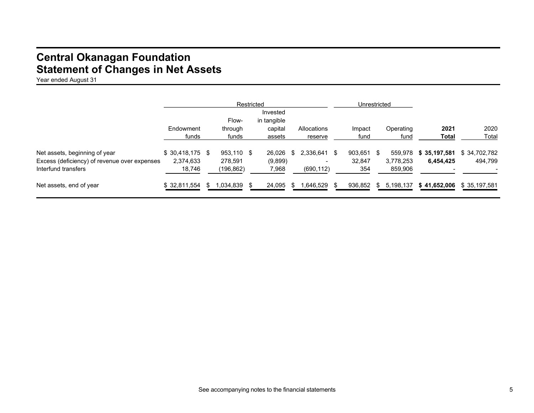### Central Okanagan Foundation Statement of Changes in Net Assets

Year ended August 31

|                                              | Restricted       |     |            |  |             | Unrestricted |             |    |         |     |           |              |              |
|----------------------------------------------|------------------|-----|------------|--|-------------|--------------|-------------|----|---------|-----|-----------|--------------|--------------|
|                                              |                  |     |            |  | Invested    |              |             |    |         |     |           |              |              |
|                                              |                  |     | Flow-      |  | in tangible |              |             |    |         |     |           |              |              |
|                                              | Endowment        |     | through    |  | capital     |              | Allocations |    | Impact  |     | Operating | 2021         | 2020         |
|                                              | funds            |     | funds      |  | assets      |              | reserve     |    | fund    |     | fund      | <b>Total</b> | Total        |
| Net assets, beginning of year                | $$30,418,175$ \$ |     | 953,110 \$ |  | 26,026      | S            | 2,336,641   | -S | 903,651 | -SS | 559.978   | \$35,197,581 | \$34,702,782 |
| Excess (deficiency) of revenue over expenses | 2,374,633        |     | 278,591    |  | (9,899)     |              |             |    | 32.847  |     | 3,778,253 | 6,454,425    | 494,799      |
| Interfund transfers                          | 18,746           |     | (196, 862) |  | 7,968       |              | (690, 112)  |    | 354     |     | 859,906   |              |              |
| Net assets, end of year                      | \$32,811,554     | -SS | ,034,839   |  | 24,095      | S            | .646,529 ا  |    | 936,852 | SS. | 5,198,137 | \$41,652,006 | \$35,197,581 |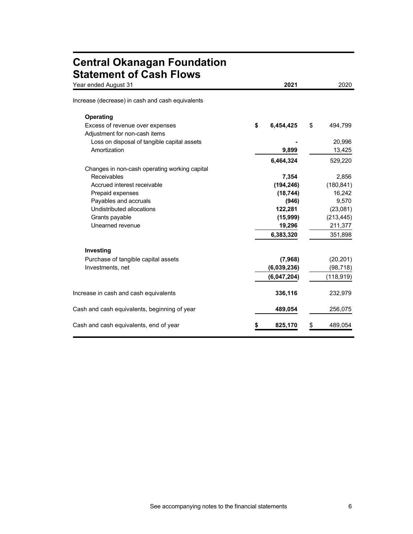### Central Okanagan Foundation Statement of Cash Flows

| Year ended August 31                             | 2021            | 2020          |
|--------------------------------------------------|-----------------|---------------|
| Increase (decrease) in cash and cash equivalents |                 |               |
| <b>Operating</b>                                 |                 |               |
| Excess of revenue over expenses                  | \$<br>6,454,425 | \$<br>494,799 |
| Adjustment for non-cash items                    |                 |               |
| Loss on disposal of tangible capital assets      |                 | 20,996        |
| Amortization                                     | 9,899           | 13,425        |
|                                                  | 6,464,324       | 529,220       |
| Changes in non-cash operating working capital    |                 |               |
| Receivables                                      | 7,354           | 2,856         |
| Accrued interest receivable                      | (194, 246)      | (180, 841)    |
| Prepaid expenses                                 | (18, 744)       | 16,242        |
| Payables and accruals                            | (946)           | 9,570         |
| Undistributed allocations                        | 122,281         | (23,081)      |
| Grants payable                                   | (15,999)        | (213, 445)    |
| Unearned revenue                                 | 19,296          | 211,377       |
|                                                  | 6,383,320       | 351,898       |
| Investing                                        |                 |               |
| Purchase of tangible capital assets              | (7,968)         | (20, 201)     |
| Investments, net                                 | (6,039,236)     | (98, 718)     |
|                                                  | (6,047,204)     | (118, 919)    |
| Increase in cash and cash equivalents            | 336,116         | 232,979       |
| Cash and cash equivalents, beginning of year     | 489,054         | 256,075       |
| Cash and cash equivalents, end of year           | 825,170         | \$<br>489,054 |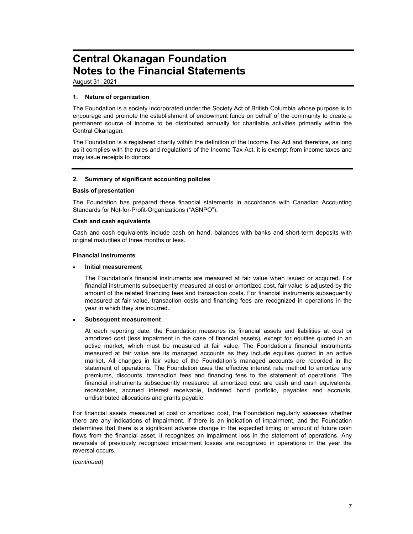August 31, 2021

### 1. Nature of organization

The Foundation is a society incorporated under the Society Act of British Columbia whose purpose is to encourage and promote the establishment of endowment funds on behalf of the community to create a permanent source of income to be distributed annually for charitable activities primarily within the Central Okanagan.

The Foundation is a registered charity within the definition of the Income Tax Act and therefore, as long as it complies with the rules and regulations of the Income Tax Act, it is exempt from income taxes and may issue receipts to donors.

### 2. Summary of significant accounting policies

### Basis of presentation

The Foundation has prepared these financial statements in accordance with Canadian Accounting Standards for Not-for-Profit-Organizations ("ASNPO").

### Cash and cash equivalents

Cash and cash equivalents include cash on hand, balances with banks and short-term deposits with original maturities of three months or less.

### Financial instruments

### Initial measurement

The Foundation's financial instruments are measured at fair value when issued or acquired. For financial instruments subsequently measured at cost or amortized cost, fair value is adjusted by the amount of the related financing fees and transaction costs. For financial instruments subsequently measured at fair value, transaction costs and financing fees are recognized in operations in the year in which they are incurred.

### Subsequent measurement

At each reporting date, the Foundation measures its financial assets and liabilities at cost or amortized cost (less impairment in the case of financial assets), except for equities quoted in an active market, which must be measured at fair value. The Foundation's financial instruments measured at fair value are its managed accounts as they include equities quoted in an active market. All changes in fair value of the Foundation's managed accounts are recorded in the statement of operations. The Foundation uses the effective interest rate method to amortize any premiums, discounts, transaction fees and financing fees to the statement of operations. The financial instruments subsequently measured at amortized cost are cash and cash equivalents, receivables, accrued interest receivable, laddered bond portfolio, payables and accruals, undistributed allocations and grants payable.

For financial assets measured at cost or amortized cost, the Foundation regularly assesses whether there are any indications of impairment. If there is an indication of impairment, and the Foundation determines that there is a significant adverse change in the expected timing or amount of future cash flows from the financial asset, it recognizes an impairment loss in the statement of operations. Any reversals of previously recognized impairment losses are recognized in operations in the year the reversal occurs.

(continued)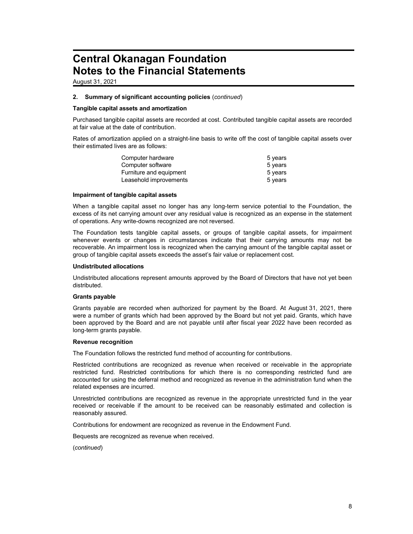August 31, 2021

### 2. Summary of significant accounting policies (continued)

### Tangible capital assets and amortization

Purchased tangible capital assets are recorded at cost. Contributed tangible capital assets are recorded at fair value at the date of contribution.

Rates of amortization applied on a straight-line basis to write off the cost of tangible capital assets over their estimated lives are as follows:

| Computer hardware       | 5 years |
|-------------------------|---------|
| Computer software       | 5 years |
| Furniture and equipment | 5 vears |
| Leasehold improvements  | 5 years |

### Impairment of tangible capital assets

When a tangible capital asset no longer has any long-term service potential to the Foundation, the excess of its net carrying amount over any residual value is recognized as an expense in the statement of operations. Any write-downs recognized are not reversed.

The Foundation tests tangible capital assets, or groups of tangible capital assets, for impairment whenever events or changes in circumstances indicate that their carrying amounts may not be recoverable. An impairment loss is recognized when the carrying amount of the tangible capital asset or group of tangible capital assets exceeds the asset's fair value or replacement cost.

### Undistributed allocations

Undistributed allocations represent amounts approved by the Board of Directors that have not yet been distributed.

### Grants payable

Grants payable are recorded when authorized for payment by the Board. At August 31, 2021, there were a number of grants which had been approved by the Board but not yet paid. Grants, which have been approved by the Board and are not payable until after fiscal year 2022 have been recorded as long-term grants payable.

### Revenue recognition

The Foundation follows the restricted fund method of accounting for contributions.

Restricted contributions are recognized as revenue when received or receivable in the appropriate restricted fund. Restricted contributions for which there is no corresponding restricted fund are accounted for using the deferral method and recognized as revenue in the administration fund when the related expenses are incurred.

Unrestricted contributions are recognized as revenue in the appropriate unrestricted fund in the year received or receivable if the amount to be received can be reasonably estimated and collection is reasonably assured.

Contributions for endowment are recognized as revenue in the Endowment Fund.

Bequests are recognized as revenue when received.

(continued)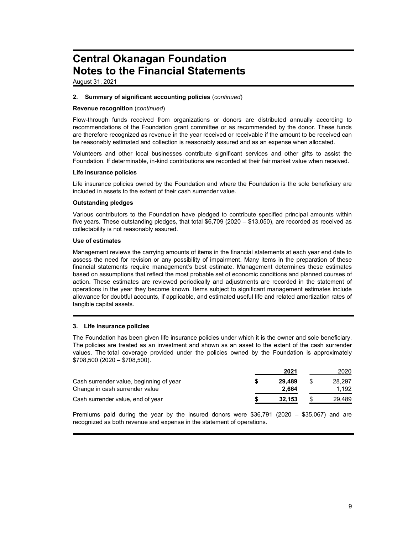August 31, 2021

### 2. Summary of significant accounting policies (continued)

### Revenue recognition (continued)

Flow-through funds received from organizations or donors are distributed annually according to recommendations of the Foundation grant committee or as recommended by the donor. These funds are therefore recognized as revenue in the year received or receivable if the amount to be received can be reasonably estimated and collection is reasonably assured and as an expense when allocated.

Volunteers and other local businesses contribute significant services and other gifts to assist the Foundation. If determinable, in-kind contributions are recorded at their fair market value when received.

### Life insurance policies

Life insurance policies owned by the Foundation and where the Foundation is the sole beneficiary are included in assets to the extent of their cash surrender value.

### Outstanding pledges

Various contributors to the Foundation have pledged to contribute specified principal amounts within five years. These outstanding pledges, that total \$6,709 (2020 – \$13,050), are recorded as received as collectability is not reasonably assured.

### Use of estimates

Management reviews the carrying amounts of items in the financial statements at each year end date to assess the need for revision or any possibility of impairment. Many items in the preparation of these financial statements require management's best estimate. Management determines these estimates based on assumptions that reflect the most probable set of economic conditions and planned courses of action. These estimates are reviewed periodically and adjustments are recorded in the statement of operations in the year they become known. Items subject to significant management estimates include allowance for doubtful accounts, if applicable, and estimated useful life and related amortization rates of tangible capital assets.

### 3. Life insurance policies

The Foundation has been given life insurance policies under which it is the owner and sole beneficiary. The policies are treated as an investment and shown as an asset to the extent of the cash surrender values. The total coverage provided under the policies owned by the Foundation is approximately \$708,500 (2020 – \$708,500).

|                                                                           | 2021            | 2020            |
|---------------------------------------------------------------------------|-----------------|-----------------|
| Cash surrender value, beginning of year<br>Change in cash surrender value | 29.489<br>2.664 | 28.297<br>1.192 |
| Cash surrender value, end of year                                         | 32.153          | 29,489          |

Premiums paid during the year by the insured donors were \$36,791 (2020 – \$35,067) and are recognized as both revenue and expense in the statement of operations.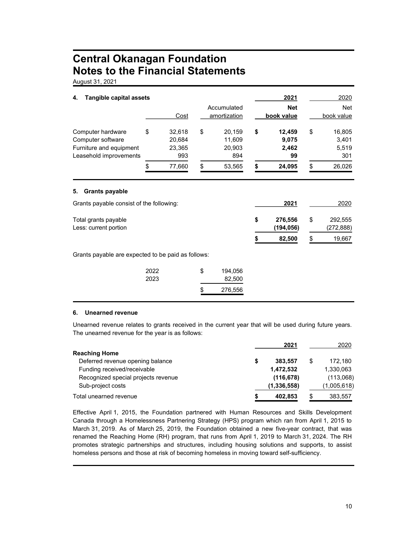August 31, 2021

| Tangible capital assets<br>4.                                           |              |              | 2021          | 2020          |
|-------------------------------------------------------------------------|--------------|--------------|---------------|---------------|
|                                                                         |              | Accumulated  | <b>Net</b>    | <b>Net</b>    |
|                                                                         | Cost         | amortization | book value    | book value    |
| Computer hardware                                                       | \$<br>32,618 | \$<br>20,159 | \$<br>12,459  | \$<br>16,805  |
| Computer software                                                       | 20,684       | 11,609       | 9,075         | 3,401         |
| Furniture and equipment                                                 | 23,365       | 20,903       | 2,462         | 5,519         |
| Leasehold improvements                                                  | 993          | 894          | 99            | 301           |
|                                                                         | \$<br>77,660 | \$<br>53,565 | \$<br>24,095  | \$<br>26,026  |
| <b>Grants payable</b><br>5.<br>Grants payable consist of the following: |              |              | 2021          | 2020          |
|                                                                         |              |              |               |               |
| Total grants payable                                                    |              |              | \$<br>276,556 | \$<br>292,555 |
| Less: current portion                                                   |              |              | (194, 056)    | (272,888)     |
|                                                                         |              |              | 82,500        | \$<br>19,667  |
| Grants payable are expected to be paid as follows:                      |              |              |               |               |
|                                                                         |              |              |               |               |

| S  | 194,056 |
|----|---------|
|    | 82,500  |
| \$ | 276,556 |
|    |         |

### 6. Unearned revenue

Unearned revenue relates to grants received in the current year that will be used during future years. The unearned revenue for the year is as follows:

|                                     |   | 2021        |   | 2020        |
|-------------------------------------|---|-------------|---|-------------|
| <b>Reaching Home</b>                |   |             |   |             |
| Deferred revenue opening balance    | S | 383.557     | S | 172.180     |
| Funding received/receivable         |   | 1,472,532   |   | 1,330,063   |
| Recognized special projects revenue |   | (116, 678)  |   | (113,068)   |
| Sub-project costs                   |   | (1,336,558) |   | (1,005,618) |
| Total unearned revenue              | S | 402.853     |   | 383,557     |

Effective April 1, 2015, the Foundation partnered with Human Resources and Skills Development Canada through a Homelessness Partnering Strategy (HPS) program which ran from April 1, 2015 to March 31, 2019. As of March 25, 2019, the Foundation obtained a new five-year contract, that was renamed the Reaching Home (RH) program, that runs from April 1, 2019 to March 31, 2024. The RH promotes strategic partnerships and structures, including housing solutions and supports, to assist homeless persons and those at risk of becoming homeless in moving toward self-sufficiency.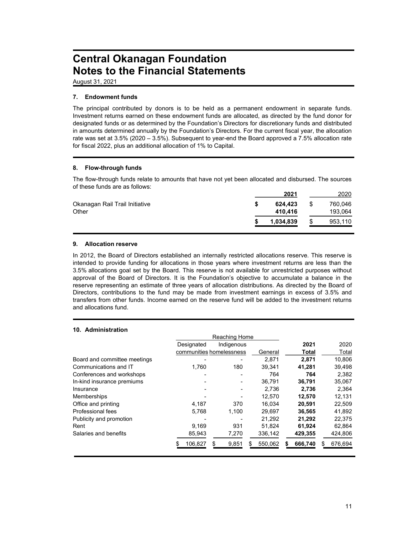August 31, 2021

### 7. Endowment funds

The principal contributed by donors is to be held as a permanent endowment in separate funds. Investment returns earned on these endowment funds are allocated, as directed by the fund donor for designated funds or as determined by the Foundation's Directors for discretionary funds and distributed in amounts determined annually by the Foundation's Directors. For the current fiscal year, the allocation rate was set at 3.5% (2020 – 3.5%). Subsequent to year-end the Board approved a 7.5% allocation rate for fiscal 2022, plus an additional allocation of 1% to Capital.

### 8. Flow-through funds

The flow-through funds relate to amounts that have not yet been allocated and disbursed. The sources of these funds are as follows:

|                                         | 2021               |   | 2020               |
|-----------------------------------------|--------------------|---|--------------------|
| Okanagan Rail Trail Initiative<br>Other | 624.423<br>410.416 | S | 760.046<br>193,064 |
|                                         | 1,034,839          |   | 953,110            |

### 9. Allocation reserve

In 2012, the Board of Directors established an internally restricted allocations reserve. This reserve is intended to provide funding for allocations in those years where investment returns are less than the 3.5% allocations goal set by the Board. This reserve is not available for unrestricted purposes without approval of the Board of Directors. It is the Foundation's objective to accumulate a balance in the reserve representing an estimate of three years of allocation distributions. As directed by the Board of Directors, contributions to the fund may be made from investment earnings in excess of 3.5% and transfers from other funds. Income earned on the reserve fund will be added to the investment returns and allocations fund.

### 10. Administration

|                              |                          | Reaching Home |         |              |               |
|------------------------------|--------------------------|---------------|---------|--------------|---------------|
|                              | Designated               | Indigenous    |         | 2021         | 2020          |
|                              | communities homelessness |               | General | <b>Total</b> | Total         |
| Board and committee meetings |                          |               | 2,871   | 2,871        | 10,806        |
| Communications and IT        | 1.760                    | 180           | 39,341  | 41,281       | 39,498        |
| Conferences and workshops    |                          |               | 764     | 764          | 2,382         |
| In-kind insurance premiums   |                          |               | 36,791  | 36,791       | 35,067        |
| Insurance                    |                          | -             | 2.736   | 2.736        | 2.364         |
| Memberships                  |                          |               | 12,570  | 12.570       | 12,131        |
| Office and printing          | 4,187                    | 370           | 16,034  | 20,591       | 22,509        |
| Professional fees            | 5,768                    | 1,100         | 29,697  | 36,565       | 41,892        |
| Publicity and promotion      |                          |               | 21,292  | 21.292       | 22,375        |
| Rent                         | 9.169                    | 931           | 51,824  | 61,924       | 62,864        |
| Salaries and benefits        | 85,943                   | 7,270         | 336,142 | 429,355      | 424,806       |
|                              | 106,827                  | 9,851<br>\$.  | 550,062 | 666,740      | 676,694<br>\$ |
|                              |                          |               |         |              |               |